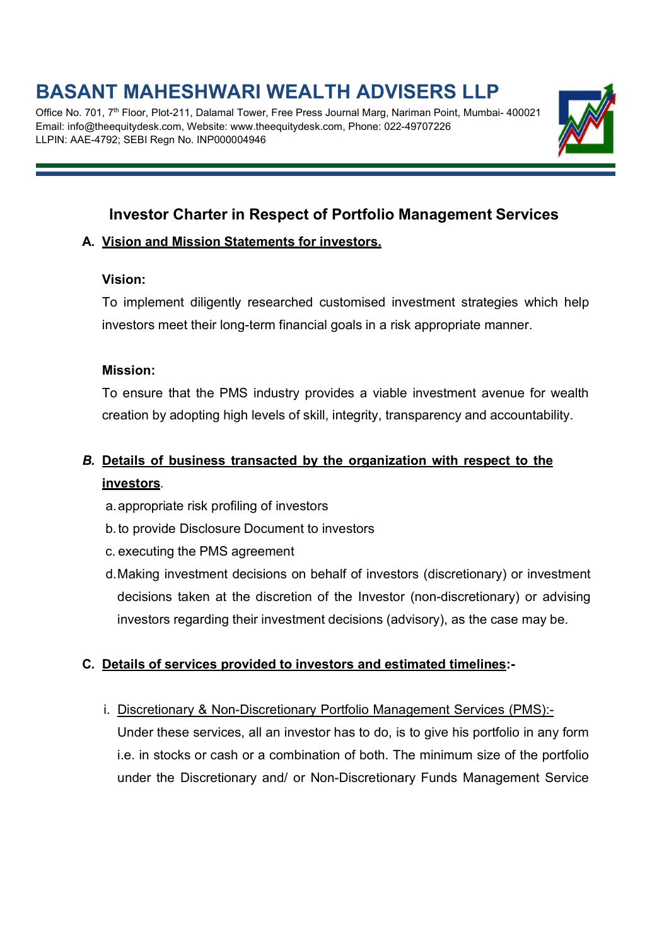Office No. 701, 7<sup>th</sup> Floor, Plot-211, Dalamal Tower, Free Press Journal Marg, Nariman Point, Mumbai- 400021 Email: info@theequitydesk.com, Website: www.theequitydesk.com, Phone: 022-49707226 LLPIN: AAE-4792; SEBI Regn No. INP000004946



### Investor Charter in Respect of Portfolio Management Services

### A. Vision and Mission Statements for investors.

#### Vision:

To implement diligently researched customised investment strategies which help investors meet their long-term financial goals in a risk appropriate manner.

#### Mission:

To ensure that the PMS industry provides a viable investment avenue for wealth creation by adopting high levels of skill, integrity, transparency and accountability.

### B. Details of business transacted by the organization with respect to the investors.

- a. appropriate risk profiling of investors
- b. to provide Disclosure Document to investors
- c. executing the PMS agreement
- d. Making investment decisions on behalf of investors (discretionary) or investment decisions taken at the discretion of the Investor (non-discretionary) or advising investors regarding their investment decisions (advisory), as the case may be.

### C. Details of services provided to investors and estimated timelines:-

i. Discretionary & Non-Discretionary Portfolio Management Services (PMS):-

Under these services, all an investor has to do, is to give his portfolio in any form i.e. in stocks or cash or a combination of both. The minimum size of the portfolio under the Discretionary and/ or Non-Discretionary Funds Management Service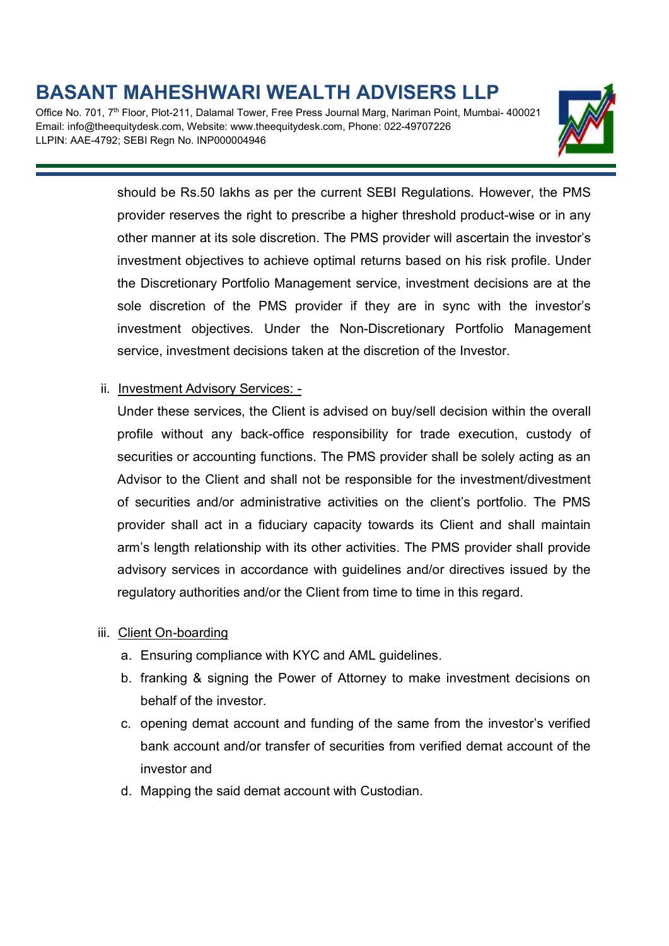Office No. 701, 7<sup>th</sup> Floor, Plot-211, Dalamal Tower, Free Press Journal Marg, Nariman Point, Mumbai- 400021 Email: info@theequitydesk.com, Website: www.theequitydesk.com, Phone: 022-49707226 LLPIN: AAE-4792; SEBI Regn No. INP000004946



should be Rs.50 lakhs as per the current SEBI Regulations. However, the PMS provider reserves the right to prescribe a higher threshold product-wise or in any other manner at its sole discretion. The PMS provider will ascertain the investor's investment objectives to achieve optimal returns based on his risk profile. Under the Discretionary Portfolio Management service, investment decisions are at the sole discretion of the PMS provider if they are in sync with the investor's investment objectives. Under the Non-Discretionary Portfolio Management service, investment decisions taken at the discretion of the Investor.

ii. Investment Advisory Services: -

Under these services, the Client is advised on buy/sell decision within the overall profile without any back-office responsibility for trade execution, custody of securities or accounting functions. The PMS provider shall be solely acting as an Advisor to the Client and shall not be responsible for the investment/divestment of securities and/or administrative activities on the client's portfolio. The PMS provider shall act in a fiduciary capacity towards its Client and shall maintain arm's length relationship with its other activities. The PMS provider shall provide advisory services in accordance with guidelines and/or directives issued by the regulatory authorities and/or the Client from time to time in this regard.

- iii. Client On-boarding
	- a. Ensuring compliance with KYC and AML guidelines.
	- b. franking & signing the Power of Attorney to make investment decisions on behalf of the investor.
	- c. opening demat account and funding of the same from the investor's verified bank account and/or transfer of securities from verified demat account of the investor and
	- d. Mapping the said demat account with Custodian.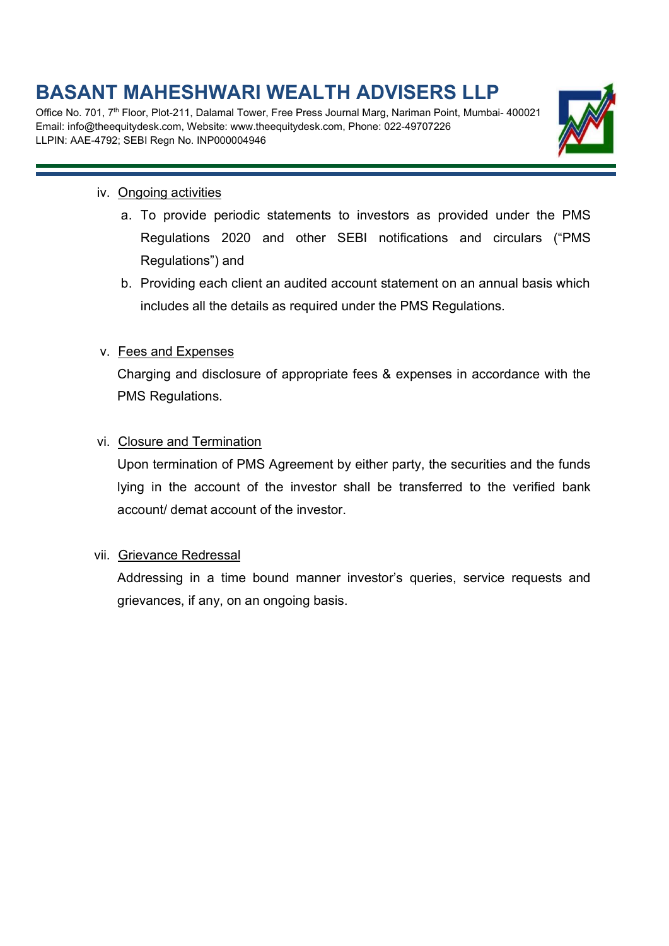Office No. 701, 7<sup>th</sup> Floor, Plot-211, Dalamal Tower, Free Press Journal Marg, Nariman Point, Mumbai- 400021 Email: info@theequitydesk.com, Website: www.theequitydesk.com, Phone: 022-49707226 LLPIN: AAE-4792; SEBI Regn No. INP000004946



#### iv. Ongoing activities

- a. To provide periodic statements to investors as provided under the PMS Regulations 2020 and other SEBI notifications and circulars ("PMS Regulations") and
- b. Providing each client an audited account statement on an annual basis which includes all the details as required under the PMS Regulations.

#### v. Fees and Expenses

Charging and disclosure of appropriate fees & expenses in accordance with the PMS Regulations.

#### vi. Closure and Termination

Upon termination of PMS Agreement by either party, the securities and the funds lying in the account of the investor shall be transferred to the verified bank account/ demat account of the investor.

#### vii. Grievance Redressal

Addressing in a time bound manner investor's queries, service requests and grievances, if any, on an ongoing basis.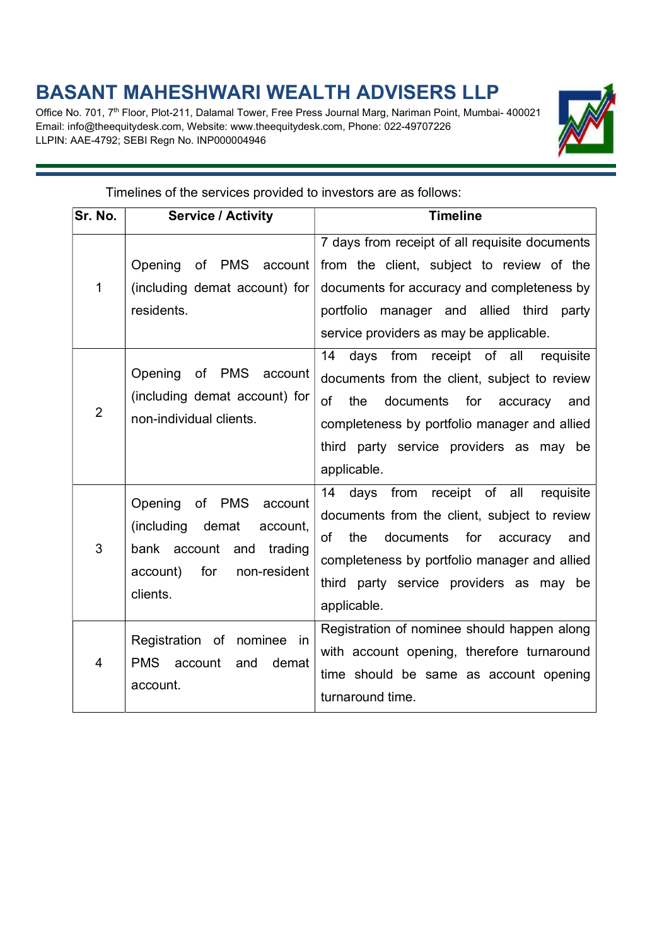

| Timelines of the services provided to investors are as follows: |                                                                                                                                                            |                                                                                                                                                                                                                                                              |
|-----------------------------------------------------------------|------------------------------------------------------------------------------------------------------------------------------------------------------------|--------------------------------------------------------------------------------------------------------------------------------------------------------------------------------------------------------------------------------------------------------------|
| Sr. No.                                                         | <b>Service / Activity</b>                                                                                                                                  | <b>Timeline</b>                                                                                                                                                                                                                                              |
| $\mathbf{1}$                                                    | PMS<br>account<br>Opening<br>of<br>(including demat account) for<br>residents.                                                                             | 7 days from receipt of all requisite documents<br>from the client, subject to review of the<br>documents for accuracy and completeness by<br>portfolio manager and allied third<br>party<br>service providers as may be applicable.                          |
| $\overline{2}$                                                  | Opening<br><b>PMS</b><br>οf<br>account<br>(including demat account) for<br>non-individual clients.                                                         | days from receipt of all<br>14<br>requisite<br>documents from the client, subject to review<br>of<br>the<br>documents<br>for<br>accuracy<br>and<br>completeness by portfolio manager and allied<br>third party service providers as may<br>be<br>applicable. |
| 3                                                               | Opening<br><b>PMS</b><br>of<br>account<br>(including<br>demat<br>account,<br>bank account<br>and<br>trading<br>account)<br>for<br>non-resident<br>clients. | 14 days from receipt of all<br>requisite<br>documents from the client, subject to review<br>of<br>the<br>documents<br>for<br>accuracy<br>and<br>completeness by portfolio manager and allied<br>third party service providers as may be<br>applicable.       |
| 4                                                               | Registration of nominee<br>in<br><b>PMS</b><br>account<br>and<br>demat<br>account.                                                                         | Registration of nominee should happen along<br>with account opening, therefore turnaround<br>time should be same as account opening<br>turnaround time.                                                                                                      |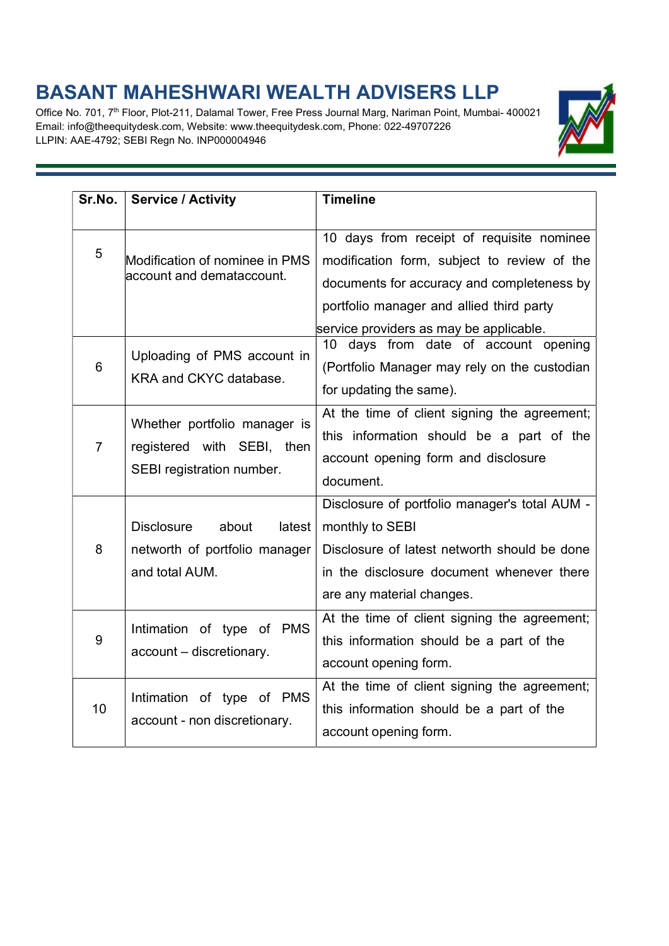

| Sr.No.         | <b>Service / Activity</b>                                                               | <b>Timeline</b>                                                                                                                                                                                                               |
|----------------|-----------------------------------------------------------------------------------------|-------------------------------------------------------------------------------------------------------------------------------------------------------------------------------------------------------------------------------|
| 5              | Modification of nominee in PMS<br>account and demataccount.                             | 10 days from receipt of requisite nominee<br>modification form, subject to review of the<br>documents for accuracy and completeness by<br>portfolio manager and allied third party<br>service providers as may be applicable. |
| 6              | Uploading of PMS account in<br>KRA and CKYC database.                                   | 10 days from date of account opening<br>(Portfolio Manager may rely on the custodian<br>for updating the same).                                                                                                               |
| $\overline{7}$ | Whether portfolio manager is<br>registered with SEBI, then<br>SEBI registration number. | At the time of client signing the agreement;<br>this information should be a part of the<br>account opening form and disclosure<br>document.                                                                                  |
| 8              | <b>Disclosure</b><br>about<br>latest<br>networth of portfolio manager<br>and total AUM. | Disclosure of portfolio manager's total AUM -<br>monthly to SEBI<br>Disclosure of latest networth should be done<br>in the disclosure document whenever there<br>are any material changes.                                    |
| 9              | Intimation of type of PMS<br>account - discretionary.                                   | At the time of client signing the agreement;<br>this information should be a part of the<br>account opening form.                                                                                                             |
| 10             | Intimation of type of PMS<br>account - non discretionary.                               | At the time of client signing the agreement;<br>this information should be a part of the<br>account opening form.                                                                                                             |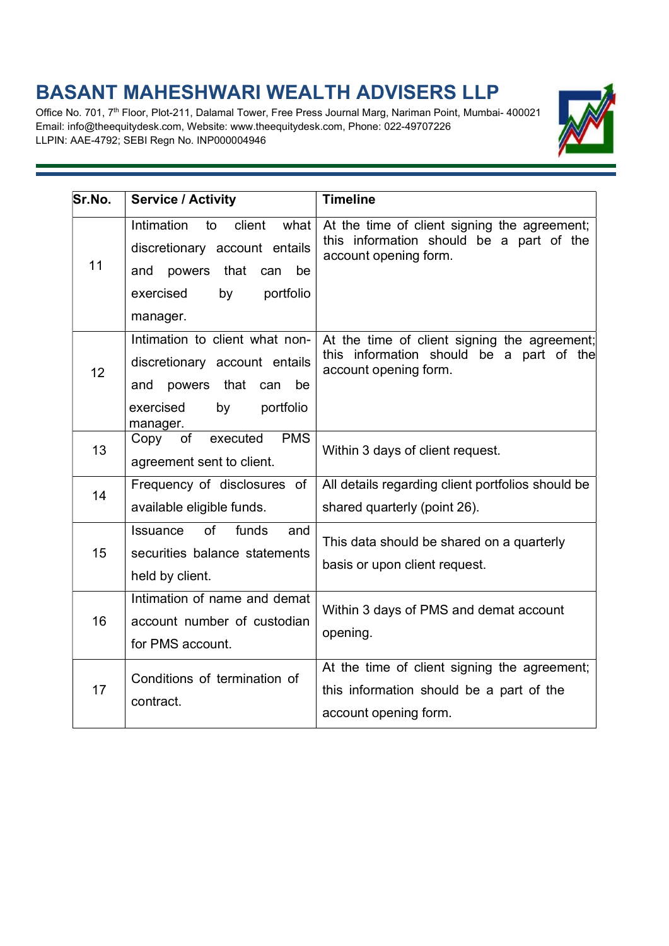

| Sr.No. | <b>Service / Activity</b>                                                                                                                   | <b>Timeline</b>                                                                                                   |
|--------|---------------------------------------------------------------------------------------------------------------------------------------------|-------------------------------------------------------------------------------------------------------------------|
| 11     | Intimation to<br>client what<br>discretionary account entails<br>powers that can<br>be<br>and<br>exercised<br>by<br>portfolio<br>manager.   | At the time of client signing the agreement;<br>this information should be a part of the<br>account opening form. |
| 12     | Intimation to client what non-<br>discretionary account entails<br>powers that can<br>and<br>be<br>exercised<br>by<br>portfolio<br>manager. | At the time of client signing the agreement;<br>this information should be a part of the<br>account opening form. |
| 13     | executed PMS<br>of<br>Copy<br>agreement sent to client.                                                                                     | Within 3 days of client request.                                                                                  |
| 14     | Frequency of disclosures of<br>available eligible funds.                                                                                    | All details regarding client portfolios should be<br>shared quarterly (point 26).                                 |
| 15     | of<br>funds<br><b>Issuance</b><br>and<br>securities balance statements<br>held by client.                                                   | This data should be shared on a quarterly<br>basis or upon client request.                                        |
| 16     | Intimation of name and demat<br>account number of custodian<br>for PMS account.                                                             | Within 3 days of PMS and demat account<br>opening.                                                                |
| 17     | Conditions of termination of<br>contract.                                                                                                   | At the time of client signing the agreement;<br>this information should be a part of the<br>account opening form. |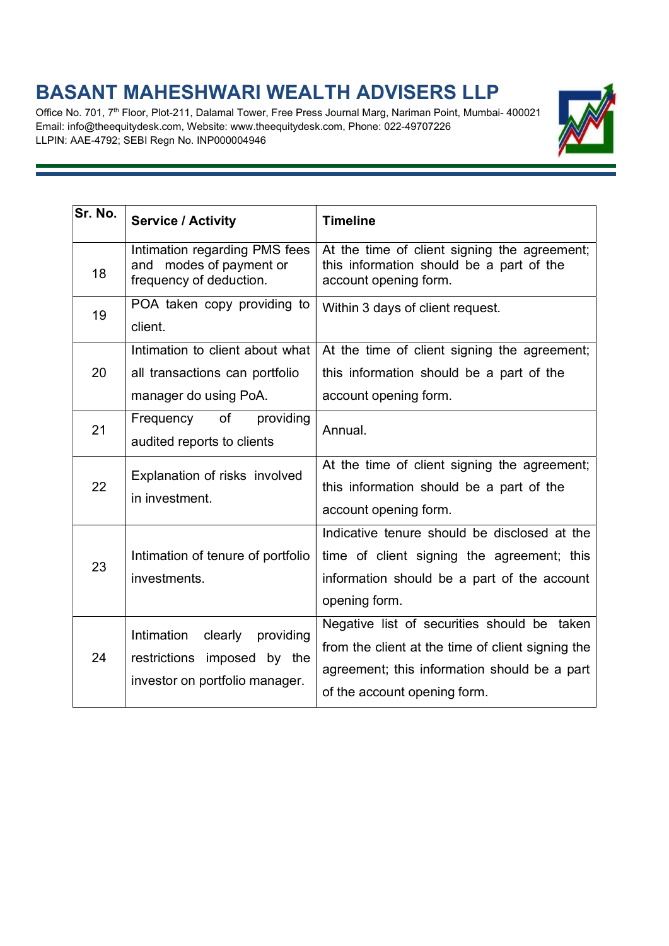

| Sr. No. | <b>Service / Activity</b>                                                                           | <b>Timeline</b>                                                                                                                                                                  |
|---------|-----------------------------------------------------------------------------------------------------|----------------------------------------------------------------------------------------------------------------------------------------------------------------------------------|
| 18      | Intimation regarding PMS fees<br>modes of payment or<br>and<br>frequency of deduction.              | At the time of client signing the agreement;<br>this information should be a part of the<br>account opening form.                                                                |
| 19      | POA taken copy providing to<br>client.                                                              | Within 3 days of client request.                                                                                                                                                 |
| 20      | Intimation to client about what<br>all transactions can portfolio                                   | At the time of client signing the agreement;<br>this information should be a part of the                                                                                         |
|         | manager do using PoA.                                                                               | account opening form.                                                                                                                                                            |
| 21      | Frequency<br>of<br>providing<br>audited reports to clients                                          | Annual.                                                                                                                                                                          |
| 22      | Explanation of risks involved<br>in investment.                                                     | At the time of client signing the agreement;<br>this information should be a part of the<br>account opening form.                                                                |
| 23      | Intimation of tenure of portfolio<br>investments.                                                   | Indicative tenure should be disclosed at the<br>time of client signing the agreement; this<br>information should be a part of the account<br>opening form.                       |
| 24      | Intimation<br>clearly<br>providing<br>restrictions imposed by the<br>investor on portfolio manager. | Negative list of securities should be taken<br>from the client at the time of client signing the<br>agreement; this information should be a part<br>of the account opening form. |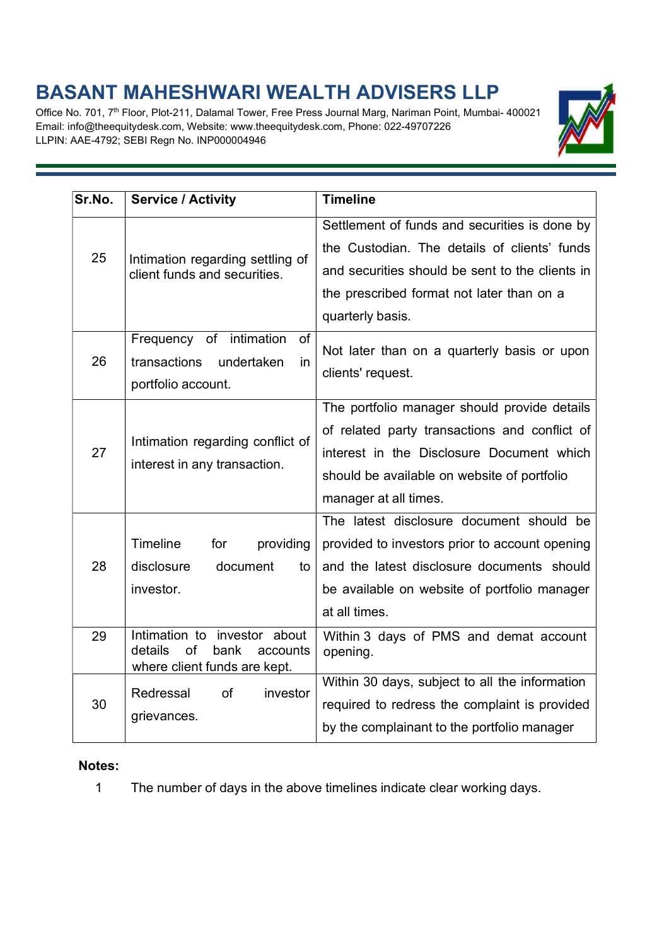Office No. 701, 7<sup>th</sup> Floor, Plot-211, Dalamal Tower, Free Press Journal Marg, Nariman Point, Mumbai- 400021 Email: info@theequitydesk.com, Website: www.theequitydesk.com, Phone: 022-49707226 LLPIN: AAE-4792; SEBI Regn No. INP000004946



| Sr.No. | <b>Service / Activity</b>                                                                         | <b>Timeline</b>                                                                                                                                                                                                    |
|--------|---------------------------------------------------------------------------------------------------|--------------------------------------------------------------------------------------------------------------------------------------------------------------------------------------------------------------------|
| 25     | Intimation regarding settling of<br>client funds and securities.                                  | Settlement of funds and securities is done by<br>the Custodian. The details of clients' funds<br>and securities should be sent to the clients in<br>the prescribed format not later than on a<br>quarterly basis.  |
| 26     | Frequency of intimation<br><b>of</b><br>transactions<br>undertaken<br>in.<br>portfolio account.   | Not later than on a quarterly basis or upon<br>clients' request.                                                                                                                                                   |
| 27     | Intimation regarding conflict of<br>interest in any transaction.                                  | The portfolio manager should provide details<br>of related party transactions and conflict of<br>interest in the Disclosure Document which<br>should be available on website of portfolio<br>manager at all times. |
| 28     | <b>Timeline</b><br>for<br>providing<br>disclosure<br>document<br>to<br>investor.                  | The latest disclosure document should be<br>provided to investors prior to account opening<br>and the latest disclosure documents should<br>be available on website of portfolio manager<br>at all times.          |
| 29     | Intimation to investor about<br>details<br>of<br>bank<br>accounts<br>where client funds are kept. | Within 3 days of PMS and demat account<br>opening.                                                                                                                                                                 |
| 30     | Redressal<br>of<br>investor<br>grievances.                                                        | Within 30 days, subject to all the information<br>required to redress the complaint is provided<br>by the complainant to the portfolio manager                                                                     |

#### Notes:

1 The number of days in the above timelines indicate clear working days.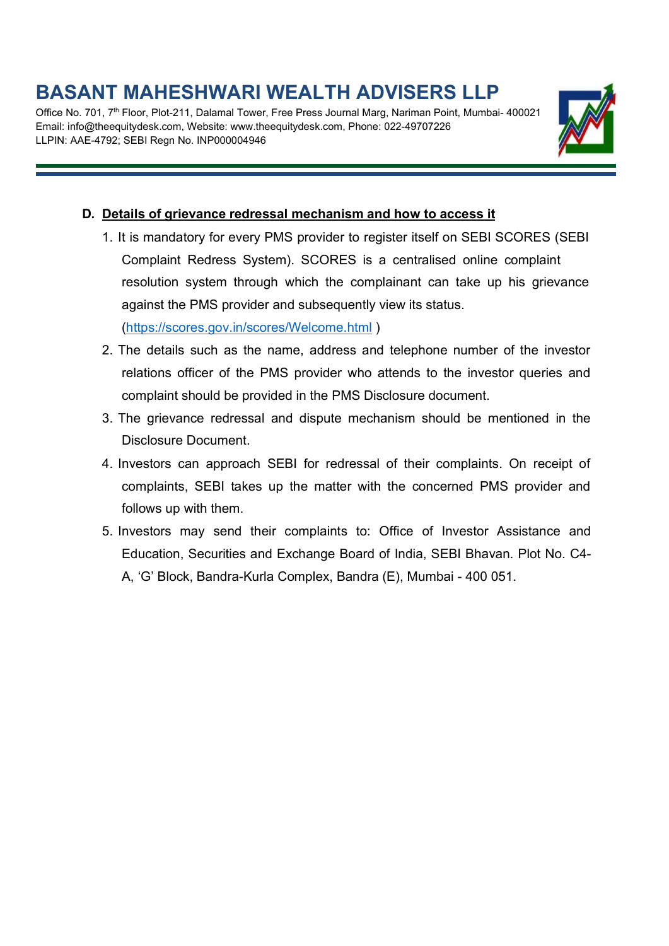Office No. 701, 7<sup>th</sup> Floor, Plot-211, Dalamal Tower, Free Press Journal Marg, Nariman Point, Mumbai- 400021 Email: info@theequitydesk.com, Website: www.theequitydesk.com, Phone: 022-49707226 LLPIN: AAE-4792; SEBI Regn No. INP000004946



### D. Details of grievance redressal mechanism and how to access it

- 1. It is mandatory for every PMS provider to register itself on SEBI SCORES (SEBI Complaint Redress System). SCORES is a centralised online complaint resolution system through which the complainant can take up his grievance against the PMS provider and subsequently view its status. (https://scores.gov.in/scores/Welcome.html )
- 2. The details such as the name, address and telephone number of the investor relations officer of the PMS provider who attends to the investor queries and complaint should be provided in the PMS Disclosure document.
- 3. The grievance redressal and dispute mechanism should be mentioned in the Disclosure Document.
- 4. Investors can approach SEBI for redressal of their complaints. On receipt of complaints, SEBI takes up the matter with the concerned PMS provider and follows up with them.
- 5. Investors may send their complaints to: Office of Investor Assistance and Education, Securities and Exchange Board of India, SEBI Bhavan. Plot No. C4- A, 'G' Block, Bandra-Kurla Complex, Bandra (E), Mumbai - 400 051.